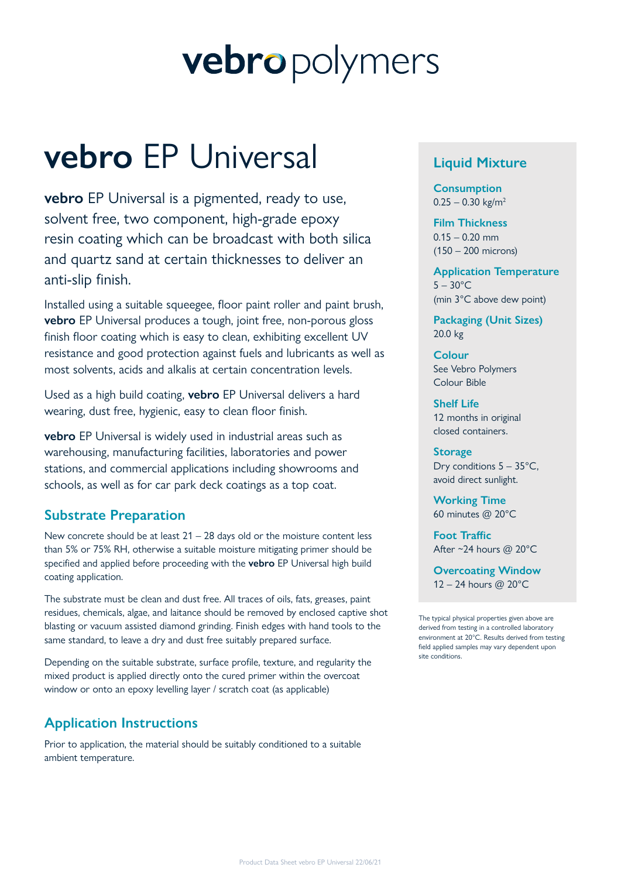# vebropolymers

## **vebro** EP Universal

**vebro** EP Universal is a pigmented, ready to use, solvent free, two component, high-grade epoxy resin coating which can be broadcast with both silica and quartz sand at certain thicknesses to deliver an anti-slip finish.

Installed using a suitable squeegee, floor paint roller and paint brush, **vebro** EP Universal produces a tough, joint free, non-porous gloss finish floor coating which is easy to clean, exhibiting excellent UV resistance and good protection against fuels and lubricants as well as most solvents, acids and alkalis at certain concentration levels.

Used as a high build coating, **vebro** EP Universal delivers a hard wearing, dust free, hygienic, easy to clean floor finish.

**vebro** EP Universal is widely used in industrial areas such as warehousing, manufacturing facilities, laboratories and power stations, and commercial applications including showrooms and schools, as well as for car park deck coatings as a top coat.

## **Substrate Preparation**

New concrete should be at least  $21 - 28$  days old or the moisture content less than 5% or 75% RH, otherwise a suitable moisture mitigating primer should be specified and applied before proceeding with the **vebro** EP Universal high build coating application.

The substrate must be clean and dust free. All traces of oils, fats, greases, paint residues, chemicals, algae, and laitance should be removed by enclosed captive shot blasting or vacuum assisted diamond grinding. Finish edges with hand tools to the same standard, to leave a dry and dust free suitably prepared surface.

Depending on the suitable substrate, surface profile, texture, and regularity the mixed product is applied directly onto the cured primer within the overcoat window or onto an epoxy levelling layer / scratch coat (as applicable)

## **Application Instructions**

Prior to application, the material should be suitably conditioned to a suitable ambient temperature.

## **Liquid Mixture**

**Consumption**  $0.25 - 0.30$  kg/m<sup>2</sup>

**Film Thickness**  $0.15 - 0.20$  mm (150 – 200 microns)

**Application Temperature**  $5 - 30^{\circ}$ C (min 3°C above dew point)

**Packaging (Unit Sizes)** 20.0 kg

**Colour** See Vebro Polymers Colour Bible

**Shelf Life** 12 months in original closed containers.

**Storage** Dry conditions  $5 - 35^{\circ}$ C, avoid direct sunlight.

**Working Time** 60 minutes @ 20°C

**Foot Traffic** After ~24 hours @ 20°C

**Overcoating Window** 12 – 24 hours @ 20°C

The typical physical properties given above are derived from testing in a controlled laboratory environment at 20°C. Results derived from testing field applied samples may vary dependent upon site conditions.